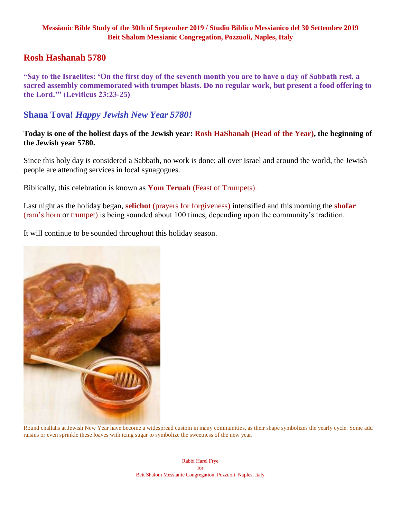### **Rosh Hashanah 5780**

**"Say to the Israelites: 'On the first day of the seventh month you are to have a day of Sabbath rest, a sacred assembly commemorated with trumpet blasts. Do no regular work, but present a food offering to the Lord.'" (Leviticus 23:23-25)**

## **Shana Tova!** *Happy Jewish New Year 5780!*

**Today is one of the holiest days of the Jewish year: Rosh HaShanah (Head of the Year), the beginning of the Jewish year 5780.**

Since this holy day is considered a Sabbath, no work is done; all over Israel and around the world, the Jewish people are attending services in local synagogues.

Biblically, this celebration is known as **Yom Teruah** (Feast of Trumpets).

Last night as the holiday began, **selichot** (prayers for forgiveness) intensified and this morning the **shofar**  (ram's horn or trumpet) is being sounded about 100 times, depending upon the community's tradition.

It will continue to be sounded throughout this holiday season.



Round challahs at Jewish New Year have become a widespread custom in many communities, as their shape symbolizes the yearly cycle. Some add raisins or even sprinkle these loaves with icing sugar to symbolize the sweetness of the new year.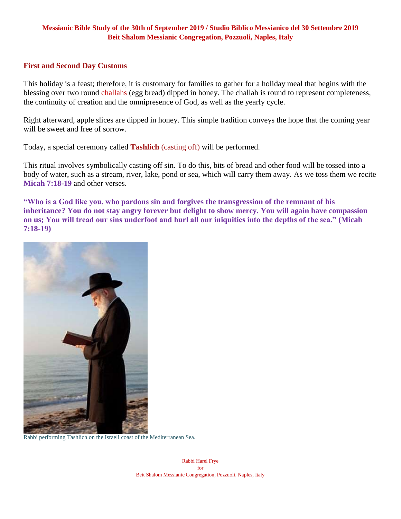#### **First and Second Day Customs**

This holiday is a feast; therefore, it is customary for families to gather for a holiday meal that begins with the blessing over two round challahs (egg bread) dipped in honey. The challah is round to represent completeness, the continuity of creation and the omnipresence of God, as well as the yearly cycle.

Right afterward, apple slices are dipped in honey. This simple tradition conveys the hope that the coming year will be sweet and free of sorrow.

Today, a special ceremony called **Tashlich** (casting off) will be performed.

This ritual involves symbolically casting off sin. To do this, bits of bread and other food will be tossed into a body of water, such as a stream, river, lake, pond or sea, which will carry them away. As we toss them we recite **Micah 7:18-19** and other verses.

**"Who is a God like you, who pardons sin and forgives the transgression of the remnant of his inheritance? You do not stay angry forever but delight to show mercy. You will again have compassion on us; You will tread our sins underfoot and hurl all our iniquities into the depths of the sea." (Micah 7:18-19)**



Rabbi performing Tashlich on the Israeli coast of the Mediterranean Sea.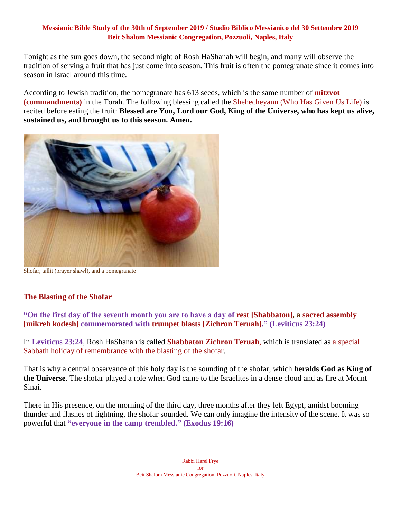Tonight as the sun goes down, the second night of Rosh HaShanah will begin, and many will observe the tradition of serving a fruit that has just come into season. This fruit is often the pomegranate since it comes into season in Israel around this time.

According to Jewish tradition, the pomegranate has 613 seeds, which is the same number of **mitzvot (commandments)** in the Torah. The following blessing called the Shehecheyanu (Who Has Given Us Life) is recited before eating the fruit: **Blessed are You, Lord our God, King of the Universe, who has kept us alive, sustained us, and brought us to this season. Amen.**



Shofar, tallit (prayer shawl), and a pomegranate

### **The Blasting of the Shofar**

**"On the first day of the seventh month you are to have a day of rest [Shabbaton], a sacred assembly [mikreh kodesh] commemorated with trumpet blasts [Zichron Teruah]." (Leviticus 23:24)**

In **Leviticus 23:24**, Rosh HaShanah is called **Shabbaton Zichron Teruah**, which is translated as a special Sabbath holiday of remembrance with the blasting of the shofar.

That is why a central observance of this holy day is the sounding of the shofar, which **heralds God as King of the Universe**. The shofar played a role when God came to the Israelites in a dense cloud and as fire at Mount Sinai.

There in His presence, on the morning of the third day, three months after they left Egypt, amidst booming thunder and flashes of lightning, the shofar sounded. We can only imagine the intensity of the scene. It was so powerful that **"everyone in the camp trembled." (Exodus 19:16)**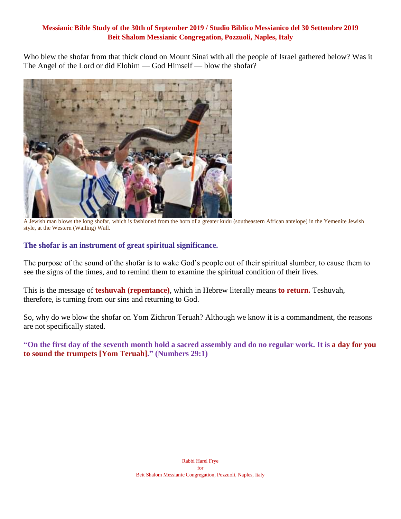Who blew the shofar from that thick cloud on Mount Sinai with all the people of Israel gathered below? Was it The Angel of the Lord or did Elohim — God Himself — blow the shofar?



A Jewish man blows the long shofar, which is fashioned from the horn of a greater kudu (southeastern African antelope) in the Yemenite Jewish style, at the Western (Wailing) Wall.

### **The shofar is an instrument of great spiritual significance.**

The purpose of the sound of the shofar is to wake God's people out of their spiritual slumber, to cause them to see the signs of the times, and to remind them to examine the spiritual condition of their lives.

This is the message of **teshuvah (repentance)**, which in Hebrew literally means **to return.** Teshuvah, therefore, is turning from our sins and returning to God.

So, why do we blow the shofar on Yom Zichron Teruah? Although we know it is a commandment, the reasons are not specifically stated.

**"On the first day of the seventh month hold a sacred assembly and do no regular work. It is a day for you to sound the trumpets [Yom Teruah]." (Numbers 29:1)**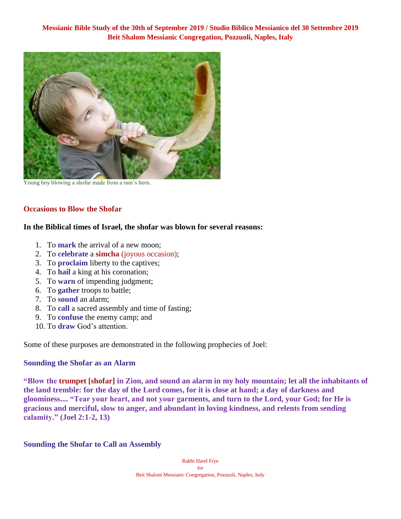

Young boy blowing a shofar made from a ram's horn.

### **Occasions to Blow the Shofar**

#### **In the Biblical times of Israel, the shofar was blown for several reasons:**

- 1. To **mark** the arrival of a new moon;
- 2. To **celebrate** a **simcha** (joyous occasion);
- 3. To **proclaim** liberty to the captives;
- 4. To **hail** a king at his coronation;
- 5. To **warn** of impending judgment;
- 6. To **gather** troops to battle;
- 7. To **sound** an alarm;
- 8. To **call** a sacred assembly and time of fasting;
- 9. To **confuse** the enemy camp; and
- 10. To **draw** God's attention.

Some of these purposes are demonstrated in the following prophecies of Joel:

#### **Sounding the Shofar as an Alarm**

**"Blow the trumpet [shofar] in Zion, and sound an alarm in my holy mountain; let all the inhabitants of the land tremble: for the day of the Lord comes, for it is close at hand; a day of darkness and gloominess.... "Tear your heart, and not your garments, and turn to the Lord, your God; for He is gracious and merciful, slow to anger, and abundant in loving kindness, and relents from sending calamity." (Joel 2:1-2, 13)**

#### **Sounding the Shofar to Call an Assembly**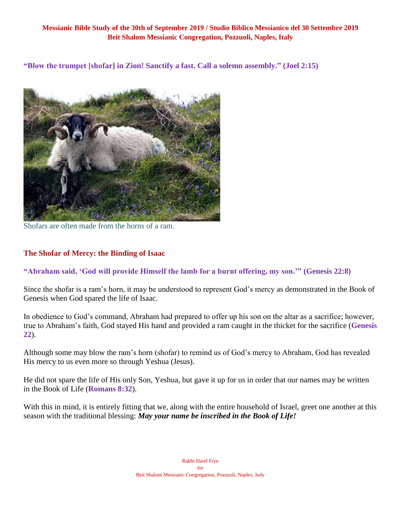**"Blow the trumpet [shofar] in Zion! Sanctify a fast. Call a solemn assembly." (Joel 2:15)**



Shofars are often made from the horns of a ram.

### **The Shofar of Mercy: the Binding of Isaac**

### **"Abraham said, 'God will provide Himself the lamb for a burnt offering, my son.'" (Genesis 22:8)**

Since the shofar is a ram's horn, it may be understood to represent God's mercy as demonstrated in the Book of Genesis when God spared the life of Isaac.

In obedience to God's command, Abraham had prepared to offer up his son on the altar as a sacrifice; however, true to Abraham's faith, God stayed His hand and provided a ram caught in the thicket for the sacrifice (**Genesis 22**).

Although some may blow the ram's horn (shofar) to remind us of God's mercy to Abraham, God has revealed His mercy to us even more so through Yeshua (Jesus).

He did not spare the life of His only Son, Yeshua, but gave it up for us in order that our names may be written in the Book of Life (**Romans 8:32**).

With this in mind, it is entirely fitting that we, along with the entire household of Israel, greet one another at this season with the traditional blessing: *May your name be inscribed in the Book of Life!*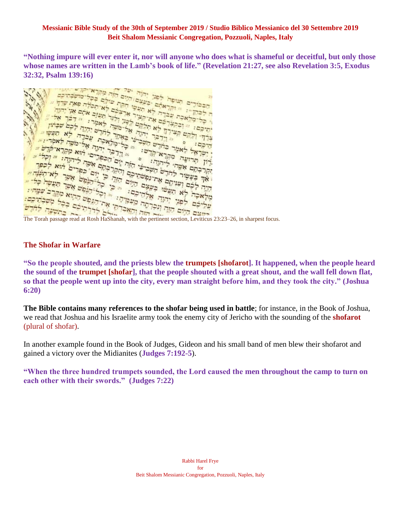**"Nothing impure will ever enter it, nor will anyone who does what is shameful or deceitful, but only those whose names are written in the Lamb's book of life." (Revelation 21:27, see also Revelation 3:5, Exodus** 



### **The Shofar in Warfare**

**"So the people shouted, and the priests blew the trumpets [shofarot]. It happened, when the people heard the sound of the trumpet [shofar], that the people shouted with a great shout, and the wall fell down flat, so that the people went up into the city, every man straight before him, and they took the city." (Joshua 6:20)**

**The Bible contains many references to the shofar being used in battle**; for instance, in the Book of Joshua, we read that Joshua and his Israelite army took the enemy city of Jericho with the sounding of the **shofarot** (plural of shofar).

In another example found in the Book of Judges, Gideon and his small band of men blew their shofarot and gained a victory over the Midianites (**Judges 7:192-5**).

**"When the three hundred trumpets sounded, the Lord caused the men throughout the camp to turn on each other with their swords." (Judges 7:22)**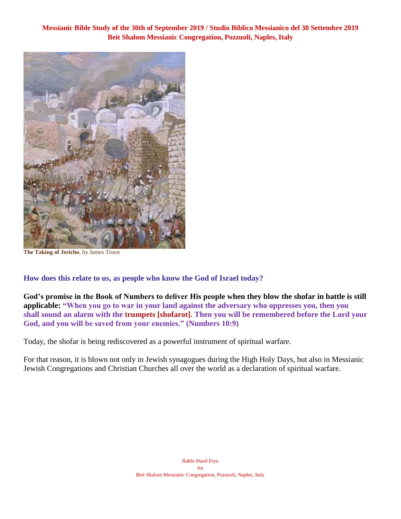

**The Taking of Jericho**, by James Tissot

**How does this relate to us, as people who know the God of Israel today?**

**God's promise in the Book of Numbers to deliver His people when they blow the shofar in battle is still applicable: "When you go to war in your land against the adversary who oppresses you, then you shall sound an alarm with the trumpets [shofarot]. Then you will be remembered before the Lord your God, and you will be saved from your enemies." (Numbers 10:9)**

Today, the shofar is being rediscovered as a powerful instrument of spiritual warfare.

For that reason, it is blown not only in Jewish synagogues during the High Holy Days, but also in Messianic Jewish Congregations and Christian Churches all over the world as a declaration of spiritual warfare.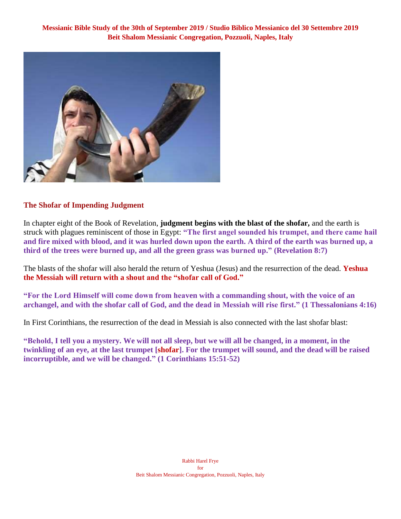

### **The Shofar of Impending Judgment**

In chapter eight of the Book of Revelation, **judgment begins with the blast of the shofar,** and the earth is struck with plagues reminiscent of those in Egypt: **"The first angel sounded his trumpet, and there came hail and fire mixed with blood, and it was hurled down upon the earth. A third of the earth was burned up, a third of the trees were burned up, and all the green grass was burned up." (Revelation 8:7)**

The blasts of the shofar will also herald the return of Yeshua (Jesus) and the resurrection of the dead. **Yeshua the Messiah will return with a shout and the "shofar call of God."**

**"For the Lord Himself will come down from heaven with a commanding shout, with the voice of an archangel, and with the shofar call of God, and the dead in Messiah will rise first." (1 Thessalonians 4:16)**

In First Corinthians, the resurrection of the dead in Messiah is also connected with the last shofar blast:

**"Behold, I tell you a mystery. We will not all sleep, but we will all be changed, in a moment, in the twinkling of an eye, at the last trumpet [shofar]. For the trumpet will sound, and the dead will be raised incorruptible, and we will be changed." (1 Corinthians 15:51-52)**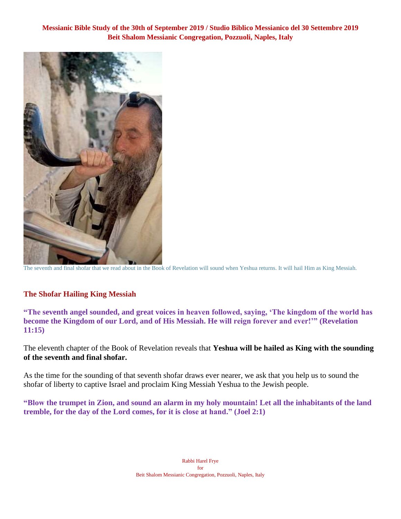

The seventh and final shofar that we read about in the Book of Revelation will sound when Yeshua returns. It will hail Him as King Messiah.

### **The Shofar Hailing King Messiah**

**"The seventh angel sounded, and great voices in heaven followed, saying, 'The kingdom of the world has become the Kingdom of our Lord, and of His Messiah. He will reign forever and ever!'" (Revelation 11:15)**

The eleventh chapter of the Book of Revelation reveals that **Yeshua will be hailed as King with the sounding of the seventh and final shofar.**

As the time for the sounding of that seventh shofar draws ever nearer, we ask that you help us to sound the shofar of liberty to captive Israel and proclaim King Messiah Yeshua to the Jewish people.

**"Blow the trumpet in Zion, and sound an alarm in my holy mountain! Let all the inhabitants of the land tremble, for the day of the Lord comes, for it is close at hand." (Joel 2:1)**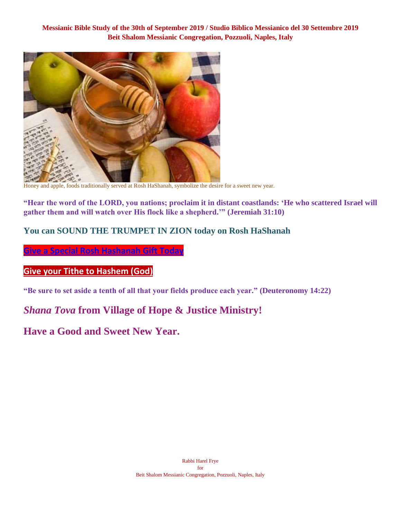

Honey and apple, foods traditionally served at Rosh HaShanah, symbolize the desire for a sweet new year.

**"Hear the word of the LORD, you nations; proclaim it in distant coastlands: 'He who scattered Israel will gather them and will watch over His flock like a shepherd.'" (Jeremiah 31:10)**

### **You can SOUND THE TRUMPET IN ZION today on Rosh HaShanah**

**[Give a Special Rosh Hashanah Gift Today](https://villageofhopejusticeministry.org/)**

## **[Give your Tithe](https://villageofhopejusticeministry.org/) to Hashem (God)**

**"Be sure to set aside a tenth of all that your fields produce each year." (Deuteronomy 14:22)**

## *Shana Tova* **from Village of Hope & Justice Ministry!**

**Have a Good and Sweet New Year.**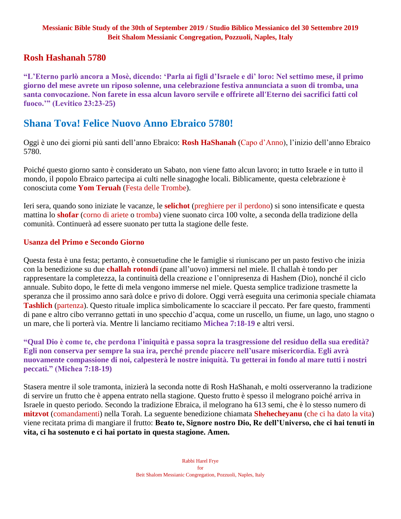## **Rosh Hashanah 5780**

**"L'Eterno parlò ancora a Mosè, dicendo: 'Parla ai figli d'Israele e di' loro: Nel settimo mese, il primo giorno del mese avrete un riposo solenne, una celebrazione festiva annunciata a suon di tromba, una santa convocazione. Non farete in essa alcun lavoro servile e offrirete all'Eterno dei sacrifici fatti col fuoco.'" (Levitico 23:23-25)**

## **Shana Tova! Felice Nuovo Anno Ebraico 5780!**

Oggi è uno dei giorni più santi dell'anno Ebraico: **Rosh HaShanah** (Capo d'Anno), l'inizio dell'anno Ebraico 5780.

Poiché questo giorno santo è considerato un Sabato, non viene fatto alcun lavoro; in tutto Israele e in tutto il mondo, il popolo Ebraico partecipa ai culti nelle sinagoghe locali. Biblicamente, questa celebrazione è conosciuta come **Yom Teruah** (Festa delle Trombe).

Ieri sera, quando sono iniziate le vacanze, le **selichot** (preghiere per il perdono) si sono intensificate e questa mattina lo **shofar** (corno di ariete o tromba) viene suonato circa 100 volte, a seconda della tradizione della comunità. Continuerà ad essere suonato per tutta la stagione delle feste.

### **Usanza del Primo e Secondo Giorno**

Questa festa è una festa; pertanto, è consuetudine che le famiglie si riuniscano per un pasto festivo che inizia con la benedizione su due **challah rotondi** (pane all'uovo) immersi nel miele. Il challah è tondo per rappresentare la completezza, la continuità della creazione e l'onnipresenza di Hashem (Dio), nonché il ciclo annuale. Subito dopo, le fette di mela vengono immerse nel miele. Questa semplice tradizione trasmette la speranza che il prossimo anno sarà dolce e privo di dolore. Oggi verrà eseguita una cerimonia speciale chiamata **Tashlich** (partenza). Questo rituale implica simbolicamente lo scacciare il peccato. Per fare questo, frammenti di pane e altro cibo verranno gettati in uno specchio d'acqua, come un ruscello, un fiume, un lago, uno stagno o un mare, che li porterà via. Mentre li lanciamo recitiamo **Michea 7:18-19** e altri versi.

**"Qual Dio è come te, che perdona l'iniquità e passa sopra la trasgressione del residuo della sua eredità? Egli non conserva per sempre la sua ira, perché prende piacere nell'usare misericordia. Egli avrà nuovamente compassione di noi, calpesterà le nostre iniquità. Tu getterai in fondo al mare tutti i nostri peccati." (Michea 7:18-19)**

Stasera mentre il sole tramonta, inizierà la seconda notte di Rosh HaShanah, e molti osserveranno la tradizione di servire un frutto che è appena entrato nella stagione. Questo frutto è spesso il melograno poiché arriva in Israele in questo periodo. Secondo la tradizione Ebraica, il melograno ha 613 semi, che è lo stesso numero di **mitzvot** (comandamenti) nella Torah. La seguente benedizione chiamata **Shehecheyanu** (che ci ha dato la vita) viene recitata prima di mangiare il frutto: **Beato te, Signore nostro Dio, Re dell'Universo, che ci hai tenuti in vita, ci ha sostenuto e ci hai portato in questa stagione. Amen.**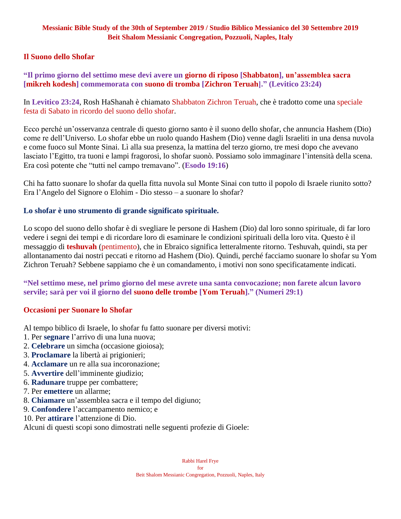### **Il Suono dello Shofar**

### **"Il primo giorno del settimo mese devi avere un giorno di riposo [Shabbaton], un'assemblea sacra [mikreh kodesh] commemorata con suono di tromba [Zichron Teruah]." (Levitico 23:24)**

In **Levitico 23:24**, Rosh HaShanah è chiamato Shabbaton Zichron Teruah, che è tradotto come una speciale festa di Sabato in ricordo del suono dello shofar.

Ecco perché un'osservanza centrale di questo giorno santo è il suono dello shofar, che annuncia Hashem (Dio) come re dell'Universo. Lo shofar ebbe un ruolo quando Hashem (Dio) venne dagli Israeliti in una densa nuvola e come fuoco sul Monte Sinai. Lì alla sua presenza, la mattina del terzo giorno, tre mesi dopo che avevano lasciato l'Egitto, tra tuoni e lampi fragorosi, lo shofar suonò. Possiamo solo immaginare l'intensità della scena. Era così potente che "tutti nel campo tremavano". (**Esodo 19:16**)

Chi ha fatto suonare lo shofar da quella fitta nuvola sul Monte Sinai con tutto il popolo di Israele riunito sotto? Era l'Angelo del Signore o Elohim - Dio stesso – a suonare lo shofar?

### **Lo shofar è uno strumento di grande significato spirituale.**

Lo scopo del suono dello shofar è di svegliare le persone di Hashem (Dio) dal loro sonno spirituale, di far loro vedere i segni dei tempi e di ricordare loro di esaminare le condizioni spirituali della loro vita. Questo è il messaggio di **teshuvah** (pentimento), che in Ebraico significa letteralmente ritorno. Teshuvah, quindi, sta per allontanamento dai nostri peccati e ritorno ad Hashem (Dio). Quindi, perché facciamo suonare lo shofar su Yom Zichron Teruah? Sebbene sappiamo che è un comandamento, i motivi non sono specificatamente indicati.

**"Nel settimo mese, nel primo giorno del mese avrete una santa convocazione; non farete alcun lavoro servile; sarà per voi il giorno del suono delle trombe [Yom Teruah]." (Numeri 29:1)**

### **Occasioni per Suonare lo Shofar**

Al tempo biblico di Israele, lo shofar fu fatto suonare per diversi motivi:

- 1. Per **segnare** l'arrivo di una luna nuova;
- 2. **Celebrare** un simcha (occasione gioiosa);
- 3. **Proclamare** la libertà ai prigionieri;
- 4. **Acclamare** un re alla sua incoronazione;
- 5. **Avvertire** dell'imminente giudizio;
- 6. **Radunare** truppe per combattere;
- 7. Per **emettere** un allarme;
- 8. **Chiamare** un'assemblea sacra e il tempo del digiuno;
- 9. **Confondere** l'accampamento nemico; e
- 10. Per **attirare** l'attenzione di Dio.

Alcuni di questi scopi sono dimostrati nelle seguenti profezie di Gioele: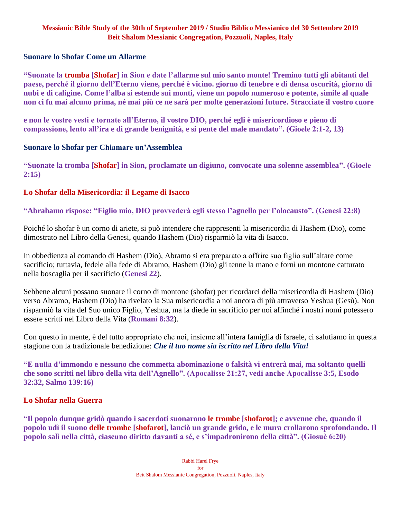### **Suonare lo Shofar Come un Allarme**

**"Suonate la tromba [Shofar] in Sion e date l'allarme sul mio santo monte! Tremino tutti gli abitanti del paese, perché il giorno dell'Eterno viene, perché è vicino. giorno di tenebre e di densa oscurità, giorno di nubi e di caligine. Come l'alba si estende sui monti, viene un popolo numeroso e potente, simile al quale non ci fu mai alcuno prima, né mai più ce ne sarà per molte generazioni future. Stracciate il vostro cuore** 

**e non le vostre vesti e tornate all'Eterno, il vostro DIO, perché egli è misericordioso e pieno di compassione, lento all'ira e di grande benignità, e si pente del male mandato". (Gioele 2:1-2, 13)**

### **Suonare lo Shofar per Chiamare un'Assemblea**

**"Suonate la tromba [Shofar] in Sion, proclamate un digiuno, convocate una solenne assemblea". (Gioele 2:15)**

### **Lo Shofar della Misericordia: il Legame di Isacco**

**"Abrahamo rispose: "Figlio mio, DIO provvederà egli stesso l'agnello per l'olocausto". (Genesi 22:8)**

Poiché lo shofar è un corno di ariete, si può intendere che rappresenti la misericordia di Hashem (Dio), come dimostrato nel Libro della Genesi, quando Hashem (Dio) risparmiò la vita di Isacco.

In obbedienza al comando di Hashem (Dio), Abramo si era preparato a offrire suo figlio sull'altare come sacrificio; tuttavia, fedele alla fede di Abramo, Hashem (Dio) gli tenne la mano e fornì un montone catturato nella boscaglia per il sacrificio (**Genesi 22**).

Sebbene alcuni possano suonare il corno di montone (shofar) per ricordarci della misericordia di Hashem (Dio) verso Abramo, Hashem (Dio) ha rivelato la Sua misericordia a noi ancora di più attraverso Yeshua (Gesù). Non risparmiò la vita del Suo unico Figlio, Yeshua, ma la diede in sacrificio per noi affinché i nostri nomi potessero essere scritti nel Libro della Vita (**Romani 8:32**).

Con questo in mente, è del tutto appropriato che noi, insieme all'intera famiglia di Israele, ci salutiamo in questa stagione con la tradizionale benedizione: *Che il tuo nome sia iscritto nel Libro della Vita!*

**"E nulla d'immondo e nessuno che commetta abominazione o falsità vi entrerà mai, ma soltanto quelli che sono scritti nel libro della vita dell'Agnello". (Apocalisse 21:27, vedi anche Apocalisse 3:5, Esodo 32:32, Salmo 139:16)**

### **Lo Shofar nella Guerra**

**"Il popolo dunque gridò quando i sacerdoti suonarono le trombe [shofarot]; e avvenne che, quando il popolo udì il suono delle trombe [shofarot], lanciò un grande grido, e le mura crollarono sprofondando. Il popolo salì nella città, ciascuno diritto davanti a sé, e s'impadronirono della città". (Giosuè 6:20)**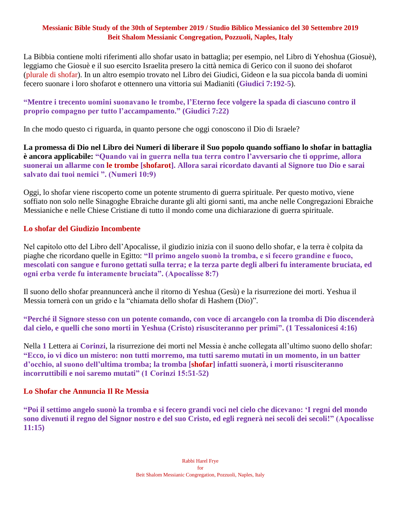La Bibbia contiene molti riferimenti allo shofar usato in battaglia; per esempio, nel Libro di Yehoshua (Giosuè), leggiamo che Giosuè e il suo esercito Israelita presero la città nemica di Gerico con il suono dei shofarot (plurale di shofar). In un altro esempio trovato nel Libro dei Giudici, Gideon e la sua piccola banda di uomini fecero suonare i loro shofarot e ottennero una vittoria sui Madianiti (**Giudici 7:192-5**).

### **"Mentre i trecento uomini suonavano le trombe, l'Eterno fece volgere la spada di ciascuno contro il proprio compagno per tutto l'accampamento." (Giudici 7:22)**

In che modo questo ci riguarda, in quanto persone che oggi conoscono il Dio di Israele?

**La promessa di Dio nel Libro dei Numeri di liberare il Suo popolo quando soffiano lo shofar in battaglia è ancora applicabile: "Quando vai in guerra nella tua terra contro l'avversario che ti opprime, allora suonerai un allarme con le trombe [shofarot]. Allora sarai ricordato davanti al Signore tuo Dio e sarai salvato dai tuoi nemici ". (Numeri 10:9)**

Oggi, lo shofar viene riscoperto come un potente strumento di guerra spirituale. Per questo motivo, viene soffiato non solo nelle Sinagoghe Ebraiche durante gli alti giorni santi, ma anche nelle Congregazioni Ebraiche Messianiche e nelle Chiese Cristiane di tutto il mondo come una dichiarazione di guerra spirituale.

### **Lo shofar del Giudizio Incombente**

Nel capitolo otto del Libro dell'Apocalisse, il giudizio inizia con il suono dello shofar, e la terra è colpita da piaghe che ricordano quelle in Egitto: **"Il primo angelo suonò la tromba, e si fecero grandine e fuoco, mescolati con sangue e furono gettati sulla terra; e la terza parte degli alberi fu interamente bruciata, ed ogni erba verde fu interamente bruciata". (Apocalisse 8:7)**

Il suono dello shofar preannuncerà anche il ritorno di Yeshua (Gesù) e la risurrezione dei morti. Yeshua il Messia tornerà con un grido e la "chiamata dello shofar di Hashem (Dio)".

**"Perché il Signore stesso con un potente comando, con voce di arcangelo con la tromba di Dio discenderà dal cielo, e quelli che sono morti in Yeshua (Cristo) risusciteranno per primi". (1 Tessalonicesi 4:16)**

Nella **1** Lettera ai **Corinzi**, la risurrezione dei morti nel Messia è anche collegata all'ultimo suono dello shofar: **"Ecco, io vi dico un mistero: non tutti morremo, ma tutti saremo mutati in un momento, in un batter d'occhio, al suono dell'ultima tromba; la tromba [shofar] infatti suonerà, i morti risusciteranno incorruttibili e noi saremo mutati" (1 Corinzi 15:51-52)**

### **Lo Shofar che Annuncia Il Re Messia**

**"Poi il settimo angelo suonò la tromba e si fecero grandi voci nel cielo che dicevano: 'I regni del mondo sono divenuti il regno del Signor nostro e del suo Cristo, ed egli regnerà nei secoli dei secoli!" (Apocalisse 11:15)**